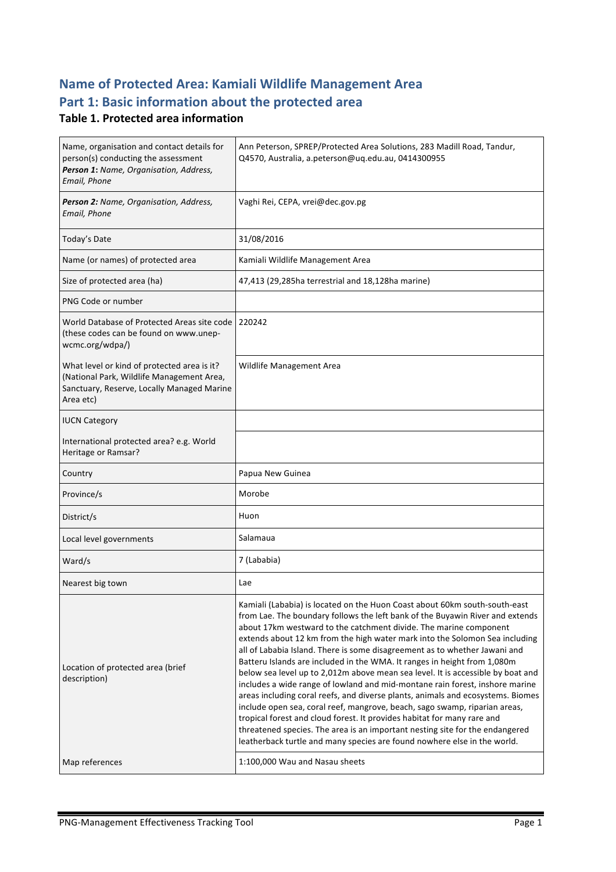# **Name of Protected Area: Kamiali Wildlife Management Area** Part 1: Basic information about the protected area

#### **Table 1. Protected area information**

| Name, organisation and contact details for<br>person(s) conducting the assessment<br>Person 1: Name, Organisation, Address,<br>Email, Phone         | Ann Peterson, SPREP/Protected Area Solutions, 283 Madill Road, Tandur,<br>Q4570, Australia, a.peterson@uq.edu.au, 0414300955                                                                                                                                                                                                                                                                                                                                                                                                                                                                                                                                                                                                                                                                                                                                                                                                                                                                                                                         |
|-----------------------------------------------------------------------------------------------------------------------------------------------------|------------------------------------------------------------------------------------------------------------------------------------------------------------------------------------------------------------------------------------------------------------------------------------------------------------------------------------------------------------------------------------------------------------------------------------------------------------------------------------------------------------------------------------------------------------------------------------------------------------------------------------------------------------------------------------------------------------------------------------------------------------------------------------------------------------------------------------------------------------------------------------------------------------------------------------------------------------------------------------------------------------------------------------------------------|
| Person 2: Name, Organisation, Address,<br>Email, Phone                                                                                              | Vaghi Rei, CEPA, vrei@dec.gov.pg                                                                                                                                                                                                                                                                                                                                                                                                                                                                                                                                                                                                                                                                                                                                                                                                                                                                                                                                                                                                                     |
| Today's Date                                                                                                                                        | 31/08/2016                                                                                                                                                                                                                                                                                                                                                                                                                                                                                                                                                                                                                                                                                                                                                                                                                                                                                                                                                                                                                                           |
| Name (or names) of protected area                                                                                                                   | Kamiali Wildlife Management Area                                                                                                                                                                                                                                                                                                                                                                                                                                                                                                                                                                                                                                                                                                                                                                                                                                                                                                                                                                                                                     |
| Size of protected area (ha)                                                                                                                         | 47,413 (29,285ha terrestrial and 18,128ha marine)                                                                                                                                                                                                                                                                                                                                                                                                                                                                                                                                                                                                                                                                                                                                                                                                                                                                                                                                                                                                    |
| PNG Code or number                                                                                                                                  |                                                                                                                                                                                                                                                                                                                                                                                                                                                                                                                                                                                                                                                                                                                                                                                                                                                                                                                                                                                                                                                      |
| World Database of Protected Areas site code<br>(these codes can be found on www.unep-<br>wcmc.org/wdpa/)                                            | 220242                                                                                                                                                                                                                                                                                                                                                                                                                                                                                                                                                                                                                                                                                                                                                                                                                                                                                                                                                                                                                                               |
| What level or kind of protected area is it?<br>(National Park, Wildlife Management Area,<br>Sanctuary, Reserve, Locally Managed Marine<br>Area etc) | Wildlife Management Area                                                                                                                                                                                                                                                                                                                                                                                                                                                                                                                                                                                                                                                                                                                                                                                                                                                                                                                                                                                                                             |
| <b>IUCN Category</b>                                                                                                                                |                                                                                                                                                                                                                                                                                                                                                                                                                                                                                                                                                                                                                                                                                                                                                                                                                                                                                                                                                                                                                                                      |
| International protected area? e.g. World<br>Heritage or Ramsar?                                                                                     |                                                                                                                                                                                                                                                                                                                                                                                                                                                                                                                                                                                                                                                                                                                                                                                                                                                                                                                                                                                                                                                      |
| Country                                                                                                                                             | Papua New Guinea                                                                                                                                                                                                                                                                                                                                                                                                                                                                                                                                                                                                                                                                                                                                                                                                                                                                                                                                                                                                                                     |
| Province/s                                                                                                                                          | Morobe                                                                                                                                                                                                                                                                                                                                                                                                                                                                                                                                                                                                                                                                                                                                                                                                                                                                                                                                                                                                                                               |
| District/s                                                                                                                                          | Huon                                                                                                                                                                                                                                                                                                                                                                                                                                                                                                                                                                                                                                                                                                                                                                                                                                                                                                                                                                                                                                                 |
| Local level governments                                                                                                                             | Salamaua                                                                                                                                                                                                                                                                                                                                                                                                                                                                                                                                                                                                                                                                                                                                                                                                                                                                                                                                                                                                                                             |
| Ward/s                                                                                                                                              | 7 (Lababia)                                                                                                                                                                                                                                                                                                                                                                                                                                                                                                                                                                                                                                                                                                                                                                                                                                                                                                                                                                                                                                          |
| Nearest big town                                                                                                                                    | Lae                                                                                                                                                                                                                                                                                                                                                                                                                                                                                                                                                                                                                                                                                                                                                                                                                                                                                                                                                                                                                                                  |
| Location of protected area (brief<br>description)                                                                                                   | Kamiali (Lababia) is located on the Huon Coast about 60km south-south-east<br>from Lae. The boundary follows the left bank of the Buyawin River and extends<br>about 17km westward to the catchment divide. The marine component<br>extends about 12 km from the high water mark into the Solomon Sea including<br>all of Lababia Island. There is some disagreement as to whether Jawani and<br>Batteru Islands are included in the WMA. It ranges in height from 1,080m<br>below sea level up to 2,012m above mean sea level. It is accessible by boat and<br>includes a wide range of lowland and mid-montane rain forest, inshore marine<br>areas including coral reefs, and diverse plants, animals and ecosystems. Biomes<br>include open sea, coral reef, mangrove, beach, sago swamp, riparian areas,<br>tropical forest and cloud forest. It provides habitat for many rare and<br>threatened species. The area is an important nesting site for the endangered<br>leatherback turtle and many species are found nowhere else in the world. |
| Map references                                                                                                                                      | 1:100,000 Wau and Nasau sheets                                                                                                                                                                                                                                                                                                                                                                                                                                                                                                                                                                                                                                                                                                                                                                                                                                                                                                                                                                                                                       |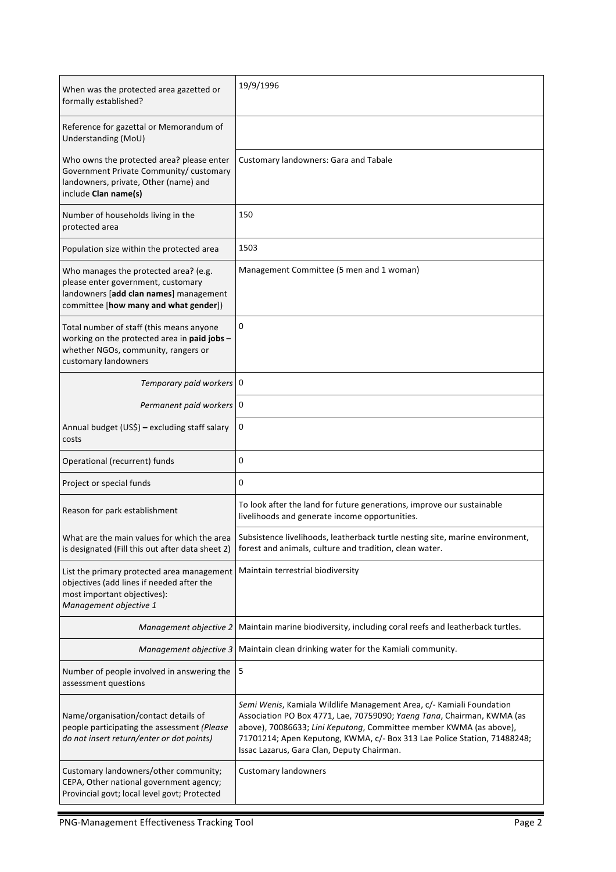| When was the protected area gazetted or<br>formally established?                                                                                               | 19/9/1996                                                                                                                                                                                                                                                                                                                                      |
|----------------------------------------------------------------------------------------------------------------------------------------------------------------|------------------------------------------------------------------------------------------------------------------------------------------------------------------------------------------------------------------------------------------------------------------------------------------------------------------------------------------------|
| Reference for gazettal or Memorandum of<br>Understanding (MoU)                                                                                                 |                                                                                                                                                                                                                                                                                                                                                |
| Who owns the protected area? please enter<br>Government Private Community/ customary<br>landowners, private, Other (name) and<br>include Clan name(s)          | Customary landowners: Gara and Tabale                                                                                                                                                                                                                                                                                                          |
| Number of households living in the<br>protected area                                                                                                           | 150                                                                                                                                                                                                                                                                                                                                            |
| Population size within the protected area                                                                                                                      | 1503                                                                                                                                                                                                                                                                                                                                           |
| Who manages the protected area? (e.g.<br>please enter government, customary<br>landowners [add clan names] management<br>committee [how many and what gender]) | Management Committee (5 men and 1 woman)                                                                                                                                                                                                                                                                                                       |
| Total number of staff (this means anyone<br>working on the protected area in paid jobs -<br>whether NGOs, community, rangers or<br>customary landowners        | 0                                                                                                                                                                                                                                                                                                                                              |
| Temporary paid workers 0                                                                                                                                       |                                                                                                                                                                                                                                                                                                                                                |
| Permanent paid workers   0                                                                                                                                     |                                                                                                                                                                                                                                                                                                                                                |
| Annual budget (US\$) - excluding staff salary<br>costs                                                                                                         | 0                                                                                                                                                                                                                                                                                                                                              |
| Operational (recurrent) funds                                                                                                                                  | 0                                                                                                                                                                                                                                                                                                                                              |
| Project or special funds                                                                                                                                       | 0                                                                                                                                                                                                                                                                                                                                              |
| Reason for park establishment                                                                                                                                  | To look after the land for future generations, improve our sustainable<br>livelihoods and generate income opportunities.                                                                                                                                                                                                                       |
| What are the main values for which the area<br>is designated (Fill this out after data sheet 2)                                                                | Subsistence livelihoods, leatherback turtle nesting site, marine environment,<br>forest and animals, culture and tradition, clean water.                                                                                                                                                                                                       |
| List the primary protected area management<br>objectives (add lines if needed after the<br>most important objectives):<br>Management objective 1               | Maintain terrestrial biodiversity                                                                                                                                                                                                                                                                                                              |
| Management objective 2                                                                                                                                         | Maintain marine biodiversity, including coral reefs and leatherback turtles.                                                                                                                                                                                                                                                                   |
| Management objective 3                                                                                                                                         | Maintain clean drinking water for the Kamiali community.                                                                                                                                                                                                                                                                                       |
| Number of people involved in answering the<br>assessment questions                                                                                             | 5                                                                                                                                                                                                                                                                                                                                              |
| Name/organisation/contact details of<br>people participating the assessment (Please<br>do not insert return/enter or dot points)                               | Semi Wenis, Kamiala Wildlife Management Area, c/- Kamiali Foundation<br>Association PO Box 4771, Lae, 70759090; Yaeng Tana, Chairman, KWMA (as<br>above), 70086633; Lini Keputong, Committee member KWMA (as above),<br>71701214; Apen Keputong, KWMA, c/- Box 313 Lae Police Station, 71488248;<br>Issac Lazarus, Gara Clan, Deputy Chairman. |
| Customary landowners/other community;<br>CEPA, Other national government agency;<br>Provincial govt; local level govt; Protected                               | <b>Customary landowners</b>                                                                                                                                                                                                                                                                                                                    |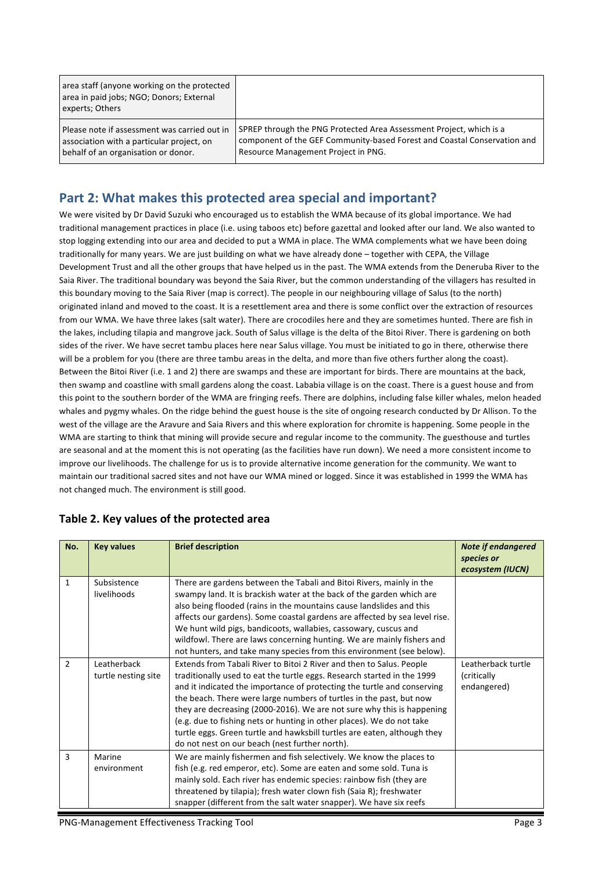area staff (anyone working on the protected area in paid jobs; NGO; Donors; External experts; Others

Please note if assessment was carried out in association with a particular project, on behalf of an organisation or donor.

SPREP through the PNG Protected Area Assessment Project, which is a component of the GEF Community-based Forest and Coastal Conservation and Resource Management Project in PNG.

## Part 2: What makes this protected area special and important?

We were visited by Dr David Suzuki who encouraged us to establish the WMA because of its global importance. We had traditional management practices in place (i.e. using taboos etc) before gazettal and looked after our land. We also wanted to stop logging extending into our area and decided to put a WMA in place. The WMA complements what we have been doing traditionally for many years. We are just building on what we have already done - together with CEPA, the Village Development Trust and all the other groups that have helped us in the past. The WMA extends from the Deneruba River to the Saia River. The traditional boundary was beyond the Saia River, but the common understanding of the villagers has resulted in this boundary moving to the Saia River (map is correct). The people in our neighbouring village of Salus (to the north) originated inland and moved to the coast. It is a resettlement area and there is some conflict over the extraction of resources from our WMA. We have three lakes (salt water). There are crocodiles here and they are sometimes hunted. There are fish in the lakes, including tilapia and mangrove jack. South of Salus village is the delta of the Bitoi River. There is gardening on both sides of the river. We have secret tambu places here near Salus village. You must be initiated to go in there, otherwise there will be a problem for you (there are three tambu areas in the delta, and more than five others further along the coast). Between the Bitoi River (i.e. 1 and 2) there are swamps and these are important for birds. There are mountains at the back, then swamp and coastline with small gardens along the coast. Lababia village is on the coast. There is a guest house and from this point to the southern border of the WMA are fringing reefs. There are dolphins, including false killer whales, melon headed whales and pygmy whales. On the ridge behind the guest house is the site of ongoing research conducted by Dr Allison. To the west of the village are the Aravure and Saia Rivers and this where exploration for chromite is happening. Some people in the WMA are starting to think that mining will provide secure and regular income to the community. The guesthouse and turtles are seasonal and at the moment this is not operating (as the facilities have run down). We need a more consistent income to improve our livelihoods. The challenge for us is to provide alternative income generation for the community. We want to maintain our traditional sacred sites and not have our WMA mined or logged. Since it was established in 1999 the WMA has not changed much. The environment is still good.

| No.            | <b>Key values</b>                  | <b>Brief description</b>                                                                                                                                                                                                                                                                                                                                                                                                                                                                                                                                                           | <b>Note if endangered</b><br>species or<br>ecosystem (IUCN) |
|----------------|------------------------------------|------------------------------------------------------------------------------------------------------------------------------------------------------------------------------------------------------------------------------------------------------------------------------------------------------------------------------------------------------------------------------------------------------------------------------------------------------------------------------------------------------------------------------------------------------------------------------------|-------------------------------------------------------------|
| $\mathbf{1}$   | Subsistence<br>livelihoods         | There are gardens between the Tabali and Bitoi Rivers, mainly in the<br>swampy land. It is brackish water at the back of the garden which are<br>also being flooded (rains in the mountains cause landslides and this<br>affects our gardens). Some coastal gardens are affected by sea level rise.<br>We hunt wild pigs, bandicoots, wallabies, cassowary, cuscus and<br>wildfowl. There are laws concerning hunting. We are mainly fishers and<br>not hunters, and take many species from this environment (see below).                                                          |                                                             |
| $\overline{2}$ | Leatherback<br>turtle nesting site | Extends from Tabali River to Bitoi 2 River and then to Salus. People<br>traditionally used to eat the turtle eggs. Research started in the 1999<br>and it indicated the importance of protecting the turtle and conserving<br>the beach. There were large numbers of turtles in the past, but now<br>they are decreasing (2000-2016). We are not sure why this is happening<br>(e.g. due to fishing nets or hunting in other places). We do not take<br>turtle eggs. Green turtle and hawksbill turtles are eaten, although they<br>do not nest on our beach (nest further north). | Leatherback turtle<br>(critically<br>endangered)            |
| 3              | Marine<br>environment              | We are mainly fishermen and fish selectively. We know the places to<br>fish (e.g. red emperor, etc). Some are eaten and some sold. Tuna is<br>mainly sold. Each river has endemic species: rainbow fish (they are<br>threatened by tilapia); fresh water clown fish (Saia R); freshwater<br>snapper (different from the salt water snapper). We have six reefs                                                                                                                                                                                                                     |                                                             |

#### Table 2. Key values of the protected area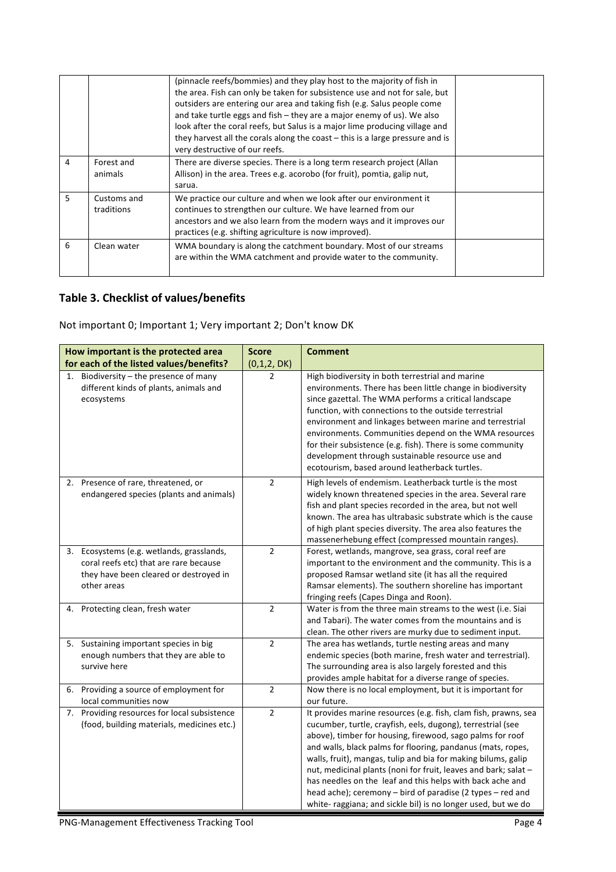|   |                           | (pinnacle reefs/bommies) and they play host to the majority of fish in<br>the area. Fish can only be taken for subsistence use and not for sale, but<br>outsiders are entering our area and taking fish (e.g. Salus people come<br>and take turtle eggs and fish - they are a major enemy of us). We also<br>look after the coral reefs, but Salus is a major lime producing village and<br>they harvest all the corals along the coast $-$ this is a large pressure and is |  |
|---|---------------------------|-----------------------------------------------------------------------------------------------------------------------------------------------------------------------------------------------------------------------------------------------------------------------------------------------------------------------------------------------------------------------------------------------------------------------------------------------------------------------------|--|
| 4 | Forest and<br>animals     | very destructive of our reefs.<br>There are diverse species. There is a long term research project (Allan<br>Allison) in the area. Trees e.g. acorobo (for fruit), pomtia, galip nut,<br>sarua.                                                                                                                                                                                                                                                                             |  |
| 5 | Customs and<br>traditions | We practice our culture and when we look after our environment it<br>continues to strengthen our culture. We have learned from our<br>ancestors and we also learn from the modern ways and it improves our<br>practices (e.g. shifting agriculture is now improved).                                                                                                                                                                                                        |  |
| 6 | Clean water               | WMA boundary is along the catchment boundary. Most of our streams<br>are within the WMA catchment and provide water to the community.                                                                                                                                                                                                                                                                                                                                       |  |

## **Table 3. Checklist of values/benefits**

Not important 0; Important 1; Very important 2; Don't know DK

|    | How important is the protected area                                                                                                          | <b>Score</b>   | <b>Comment</b>                                                                                                                                                                                                                                                                                                                                                                                                                                                                                                                                                                             |
|----|----------------------------------------------------------------------------------------------------------------------------------------------|----------------|--------------------------------------------------------------------------------------------------------------------------------------------------------------------------------------------------------------------------------------------------------------------------------------------------------------------------------------------------------------------------------------------------------------------------------------------------------------------------------------------------------------------------------------------------------------------------------------------|
|    | for each of the listed values/benefits?                                                                                                      | (0,1,2, DK)    |                                                                                                                                                                                                                                                                                                                                                                                                                                                                                                                                                                                            |
| 1. | Biodiversity - the presence of many<br>different kinds of plants, animals and<br>ecosystems                                                  | $\overline{2}$ | High biodiversity in both terrestrial and marine<br>environments. There has been little change in biodiversity<br>since gazettal. The WMA performs a critical landscape<br>function, with connections to the outside terrestrial<br>environment and linkages between marine and terrestrial<br>environments. Communities depend on the WMA resources<br>for their subsistence (e.g. fish). There is some community<br>development through sustainable resource use and<br>ecotourism, based around leatherback turtles.                                                                    |
|    | 2. Presence of rare, threatened, or<br>endangered species (plants and animals)                                                               | $\overline{2}$ | High levels of endemism. Leatherback turtle is the most<br>widely known threatened species in the area. Several rare<br>fish and plant species recorded in the area, but not well<br>known. The area has ultrabasic substrate which is the cause<br>of high plant species diversity. The area also features the<br>massenerhebung effect (compressed mountain ranges).                                                                                                                                                                                                                     |
|    | 3. Ecosystems (e.g. wetlands, grasslands,<br>coral reefs etc) that are rare because<br>they have been cleared or destroyed in<br>other areas | $\overline{2}$ | Forest, wetlands, mangrove, sea grass, coral reef are<br>important to the environment and the community. This is a<br>proposed Ramsar wetland site (it has all the required<br>Ramsar elements). The southern shoreline has important<br>fringing reefs (Capes Dinga and Roon).                                                                                                                                                                                                                                                                                                            |
| 4. | Protecting clean, fresh water                                                                                                                | $\overline{2}$ | Water is from the three main streams to the west (i.e. Siai<br>and Tabari). The water comes from the mountains and is<br>clean. The other rivers are murky due to sediment input.                                                                                                                                                                                                                                                                                                                                                                                                          |
|    | 5. Sustaining important species in big<br>enough numbers that they are able to<br>survive here                                               | $\overline{2}$ | The area has wetlands, turtle nesting areas and many<br>endemic species (both marine, fresh water and terrestrial).<br>The surrounding area is also largely forested and this<br>provides ample habitat for a diverse range of species.                                                                                                                                                                                                                                                                                                                                                    |
|    | 6. Providing a source of employment for<br>local communities now                                                                             | $\overline{2}$ | Now there is no local employment, but it is important for<br>our future.                                                                                                                                                                                                                                                                                                                                                                                                                                                                                                                   |
| 7. | Providing resources for local subsistence<br>(food, building materials, medicines etc.)                                                      | $\overline{2}$ | It provides marine resources (e.g. fish, clam fish, prawns, sea<br>cucumber, turtle, crayfish, eels, dugong), terrestrial (see<br>above), timber for housing, firewood, sago palms for roof<br>and walls, black palms for flooring, pandanus (mats, ropes,<br>walls, fruit), mangas, tulip and bia for making bilums, galip<br>nut, medicinal plants (noni for fruit, leaves and bark; salat -<br>has needles on the leaf and this helps with back ache and<br>head ache); ceremony – bird of paradise (2 types – red and<br>white- raggiana; and sickle bil) is no longer used, but we do |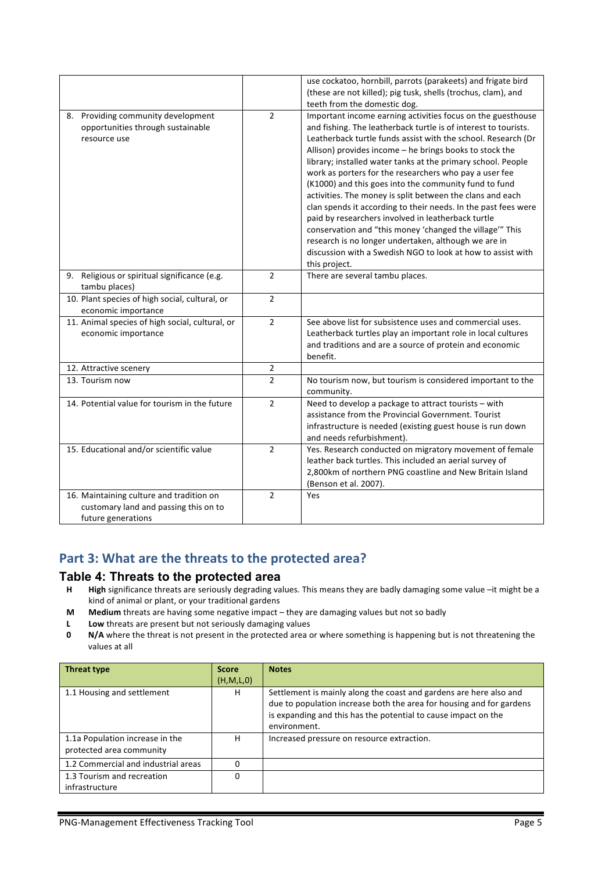|                                                 |                | use cockatoo, hornbill, parrots (parakeets) and frigate bird    |
|-------------------------------------------------|----------------|-----------------------------------------------------------------|
|                                                 |                | (these are not killed); pig tusk, shells (trochus, clam), and   |
|                                                 |                | teeth from the domestic dog.                                    |
| 8. Providing community development              | $\overline{2}$ | Important income earning activities focus on the guesthouse     |
| opportunities through sustainable               |                | and fishing. The leatherback turtle is of interest to tourists. |
| resource use                                    |                | Leatherback turtle funds assist with the school. Research (Dr   |
|                                                 |                | Allison) provides income - he brings books to stock the         |
|                                                 |                | library; installed water tanks at the primary school. People    |
|                                                 |                | work as porters for the researchers who pay a user fee          |
|                                                 |                | (K1000) and this goes into the community fund to fund           |
|                                                 |                | activities. The money is split between the clans and each       |
|                                                 |                | clan spends it according to their needs. In the past fees were  |
|                                                 |                | paid by researchers involved in leatherback turtle              |
|                                                 |                | conservation and "this money 'changed the village'" This        |
|                                                 |                | research is no longer undertaken, although we are in            |
|                                                 |                | discussion with a Swedish NGO to look at how to assist with     |
|                                                 |                | this project.                                                   |
| 9. Religious or spiritual significance (e.g.    | $\overline{2}$ | There are several tambu places.                                 |
| tambu places)                                   |                |                                                                 |
| 10. Plant species of high social, cultural, or  | $\overline{2}$ |                                                                 |
| economic importance                             |                |                                                                 |
| 11. Animal species of high social, cultural, or | $\overline{2}$ | See above list for subsistence uses and commercial uses.        |
| economic importance                             |                | Leatherback turtles play an important role in local cultures    |
|                                                 |                | and traditions and are a source of protein and economic         |
|                                                 |                | benefit.                                                        |
| 12. Attractive scenery                          | $\overline{2}$ |                                                                 |
| 13. Tourism now                                 | $\overline{2}$ | No tourism now, but tourism is considered important to the      |
|                                                 |                | community.                                                      |
| 14. Potential value for tourism in the future   | $\overline{2}$ | Need to develop a package to attract tourists - with            |
|                                                 |                | assistance from the Provincial Government. Tourist              |
|                                                 |                | infrastructure is needed (existing guest house is run down      |
|                                                 |                | and needs refurbishment).                                       |
| 15. Educational and/or scientific value         | $\overline{2}$ | Yes. Research conducted on migratory movement of female         |
|                                                 |                | leather back turtles. This included an aerial survey of         |
|                                                 |                | 2,800km of northern PNG coastline and New Britain Island        |
|                                                 |                | (Benson et al. 2007).                                           |
| 16. Maintaining culture and tradition on        | $\overline{2}$ | Yes                                                             |
| customary land and passing this on to           |                |                                                                 |
| future generations                              |                |                                                                 |

## Part 3: What are the threats to the protected area?

#### **Table 4: Threats to the protected area**

- **H** High significance threats are seriously degrading values. This means they are badly damaging some value –it might be a kind of animal or plant, or your traditional gardens
- **M Medium** threats are having some negative impact they are damaging values but not so badly
- **L** Low threats are present but not seriously damaging values
- **0 N/A** where the threat is not present in the protected area or where something is happening but is not threatening the values at all

| Threat type                                                 | <b>Score</b> | <b>Notes</b>                                                                                                                                                                                                                 |
|-------------------------------------------------------------|--------------|------------------------------------------------------------------------------------------------------------------------------------------------------------------------------------------------------------------------------|
|                                                             | (H,M,L,0)    |                                                                                                                                                                                                                              |
| 1.1 Housing and settlement                                  | н            | Settlement is mainly along the coast and gardens are here also and<br>due to population increase both the area for housing and for gardens<br>is expanding and this has the potential to cause impact on the<br>environment. |
| 1.1a Population increase in the<br>protected area community | н            | Increased pressure on resource extraction.                                                                                                                                                                                   |
| 1.2 Commercial and industrial areas                         |              |                                                                                                                                                                                                                              |
| 1.3 Tourism and recreation<br>infrastructure                | ŋ            |                                                                                                                                                                                                                              |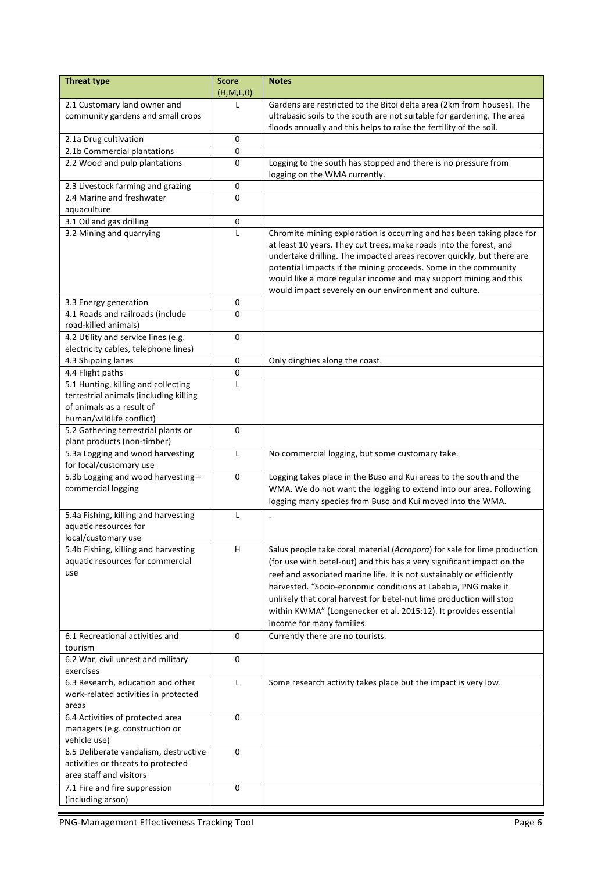| <b>Threat type</b>                                                                                                                     | <b>Score</b> | <b>Notes</b>                                                                                                                                                                                                                                                                                                                                                 |
|----------------------------------------------------------------------------------------------------------------------------------------|--------------|--------------------------------------------------------------------------------------------------------------------------------------------------------------------------------------------------------------------------------------------------------------------------------------------------------------------------------------------------------------|
|                                                                                                                                        | (H,M,L,0)    |                                                                                                                                                                                                                                                                                                                                                              |
| 2.1 Customary land owner and                                                                                                           | T            | Gardens are restricted to the Bitoi delta area (2km from houses). The                                                                                                                                                                                                                                                                                        |
| community gardens and small crops                                                                                                      |              | ultrabasic soils to the south are not suitable for gardening. The area                                                                                                                                                                                                                                                                                       |
|                                                                                                                                        |              | floods annually and this helps to raise the fertility of the soil.                                                                                                                                                                                                                                                                                           |
| 2.1a Drug cultivation                                                                                                                  | 0            |                                                                                                                                                                                                                                                                                                                                                              |
| 2.1b Commercial plantations                                                                                                            | 0            |                                                                                                                                                                                                                                                                                                                                                              |
| 2.2 Wood and pulp plantations                                                                                                          | 0            | Logging to the south has stopped and there is no pressure from<br>logging on the WMA currently.                                                                                                                                                                                                                                                              |
| 2.3 Livestock farming and grazing                                                                                                      | 0            |                                                                                                                                                                                                                                                                                                                                                              |
| 2.4 Marine and freshwater                                                                                                              | $\Omega$     |                                                                                                                                                                                                                                                                                                                                                              |
| aquaculture                                                                                                                            |              |                                                                                                                                                                                                                                                                                                                                                              |
| 3.1 Oil and gas drilling                                                                                                               | 0            |                                                                                                                                                                                                                                                                                                                                                              |
| 3.2 Mining and quarrying                                                                                                               | L            | Chromite mining exploration is occurring and has been taking place for<br>at least 10 years. They cut trees, make roads into the forest, and<br>undertake drilling. The impacted areas recover quickly, but there are<br>potential impacts if the mining proceeds. Some in the community<br>would like a more regular income and may support mining and this |
|                                                                                                                                        |              | would impact severely on our environment and culture.                                                                                                                                                                                                                                                                                                        |
| 3.3 Energy generation                                                                                                                  | 0            |                                                                                                                                                                                                                                                                                                                                                              |
| 4.1 Roads and railroads (include                                                                                                       | $\Omega$     |                                                                                                                                                                                                                                                                                                                                                              |
| road-killed animals)                                                                                                                   |              |                                                                                                                                                                                                                                                                                                                                                              |
| 4.2 Utility and service lines (e.g.                                                                                                    | 0            |                                                                                                                                                                                                                                                                                                                                                              |
| electricity cables, telephone lines)                                                                                                   |              |                                                                                                                                                                                                                                                                                                                                                              |
| 4.3 Shipping lanes                                                                                                                     | $\mathbf 0$  | Only dinghies along the coast.                                                                                                                                                                                                                                                                                                                               |
| 4.4 Flight paths                                                                                                                       | 0            |                                                                                                                                                                                                                                                                                                                                                              |
| 5.1 Hunting, killing and collecting<br>terrestrial animals (including killing<br>of animals as a result of<br>human/wildlife conflict) | L            |                                                                                                                                                                                                                                                                                                                                                              |
| 5.2 Gathering terrestrial plants or                                                                                                    | $\mathbf 0$  |                                                                                                                                                                                                                                                                                                                                                              |
| plant products (non-timber)                                                                                                            |              |                                                                                                                                                                                                                                                                                                                                                              |
| 5.3a Logging and wood harvesting                                                                                                       | L            | No commercial logging, but some customary take.                                                                                                                                                                                                                                                                                                              |
| for local/customary use                                                                                                                |              |                                                                                                                                                                                                                                                                                                                                                              |
| 5.3b Logging and wood harvesting -                                                                                                     | 0            | Logging takes place in the Buso and Kui areas to the south and the                                                                                                                                                                                                                                                                                           |
| commercial logging                                                                                                                     |              | WMA. We do not want the logging to extend into our area. Following                                                                                                                                                                                                                                                                                           |
|                                                                                                                                        |              | logging many species from Buso and Kui moved into the WMA.                                                                                                                                                                                                                                                                                                   |
| 5.4a Fishing, killing and harvesting<br>aquatic resources for<br>local/customary use                                                   | $\mathsf{L}$ |                                                                                                                                                                                                                                                                                                                                                              |
| 5.4b Fishing, killing and harvesting                                                                                                   | H            | Salus people take coral material (Acropora) for sale for lime production                                                                                                                                                                                                                                                                                     |
| aquatic resources for commercial                                                                                                       |              | (for use with betel-nut) and this has a very significant impact on the                                                                                                                                                                                                                                                                                       |
| use                                                                                                                                    |              | reef and associated marine life. It is not sustainably or efficiently                                                                                                                                                                                                                                                                                        |
|                                                                                                                                        |              | harvested. "Socio-economic conditions at Lababia, PNG make it                                                                                                                                                                                                                                                                                                |
|                                                                                                                                        |              | unlikely that coral harvest for betel-nut lime production will stop                                                                                                                                                                                                                                                                                          |
|                                                                                                                                        |              | within KWMA" (Longenecker et al. 2015:12). It provides essential                                                                                                                                                                                                                                                                                             |
|                                                                                                                                        |              | income for many families.                                                                                                                                                                                                                                                                                                                                    |
| 6.1 Recreational activities and                                                                                                        | 0            | Currently there are no tourists.                                                                                                                                                                                                                                                                                                                             |
| tourism                                                                                                                                |              |                                                                                                                                                                                                                                                                                                                                                              |
| 6.2 War, civil unrest and military                                                                                                     | 0            |                                                                                                                                                                                                                                                                                                                                                              |
| exercises                                                                                                                              |              |                                                                                                                                                                                                                                                                                                                                                              |
| 6.3 Research, education and other                                                                                                      | L            | Some research activity takes place but the impact is very low.                                                                                                                                                                                                                                                                                               |
| work-related activities in protected                                                                                                   |              |                                                                                                                                                                                                                                                                                                                                                              |
| areas                                                                                                                                  |              |                                                                                                                                                                                                                                                                                                                                                              |
| 6.4 Activities of protected area                                                                                                       | $\mathbf 0$  |                                                                                                                                                                                                                                                                                                                                                              |
| managers (e.g. construction or                                                                                                         |              |                                                                                                                                                                                                                                                                                                                                                              |
| vehicle use)                                                                                                                           |              |                                                                                                                                                                                                                                                                                                                                                              |
| 6.5 Deliberate vandalism, destructive                                                                                                  | 0            |                                                                                                                                                                                                                                                                                                                                                              |
| activities or threats to protected                                                                                                     |              |                                                                                                                                                                                                                                                                                                                                                              |
| area staff and visitors                                                                                                                |              |                                                                                                                                                                                                                                                                                                                                                              |
| 7.1 Fire and fire suppression                                                                                                          | 0            |                                                                                                                                                                                                                                                                                                                                                              |
| (including arson)                                                                                                                      |              |                                                                                                                                                                                                                                                                                                                                                              |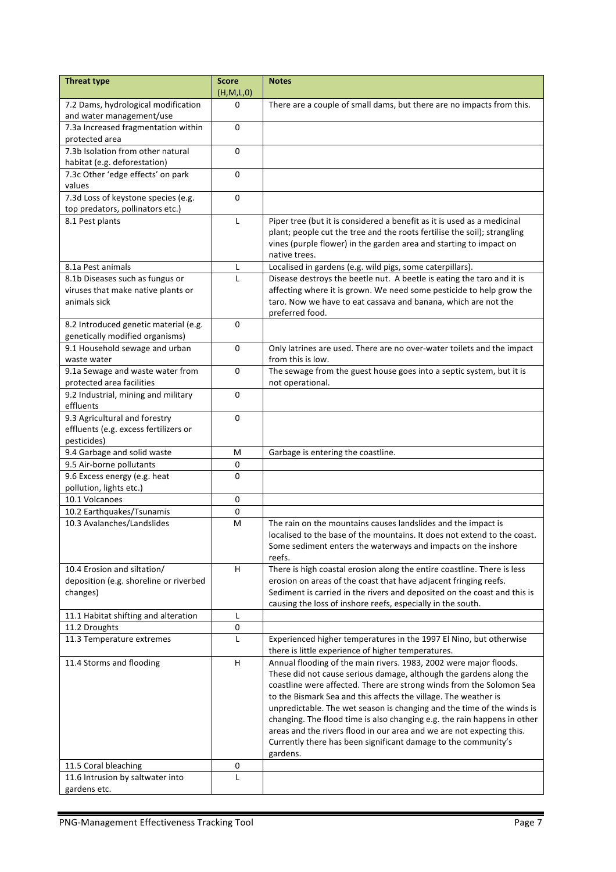| <b>Threat type</b>                                                      | <b>Score</b><br>(H, M, L, 0) | <b>Notes</b>                                                                                                                            |
|-------------------------------------------------------------------------|------------------------------|-----------------------------------------------------------------------------------------------------------------------------------------|
| 7.2 Dams, hydrological modification                                     | $\Omega$                     | There are a couple of small dams, but there are no impacts from this.                                                                   |
| and water management/use                                                |                              |                                                                                                                                         |
| 7.3a Increased fragmentation within                                     | $\mathbf{0}$                 |                                                                                                                                         |
| protected area                                                          |                              |                                                                                                                                         |
| 7.3b Isolation from other natural                                       | 0                            |                                                                                                                                         |
| habitat (e.g. deforestation)                                            |                              |                                                                                                                                         |
| 7.3c Other 'edge effects' on park<br>values                             | 0                            |                                                                                                                                         |
| 7.3d Loss of keystone species (e.g.<br>top predators, pollinators etc.) | $\Omega$                     |                                                                                                                                         |
| 8.1 Pest plants                                                         | $\mathsf{L}$                 | Piper tree (but it is considered a benefit as it is used as a medicinal                                                                 |
|                                                                         |                              | plant; people cut the tree and the roots fertilise the soil); strangling                                                                |
|                                                                         |                              | vines (purple flower) in the garden area and starting to impact on                                                                      |
|                                                                         |                              | native trees.                                                                                                                           |
| 8.1a Pest animals                                                       | L                            | Localised in gardens (e.g. wild pigs, some caterpillars).                                                                               |
| 8.1b Diseases such as fungus or                                         | L                            | Disease destroys the beetle nut. A beetle is eating the taro and it is                                                                  |
| viruses that make native plants or                                      |                              | affecting where it is grown. We need some pesticide to help grow the                                                                    |
| animals sick                                                            |                              | taro. Now we have to eat cassava and banana, which are not the<br>preferred food.                                                       |
| 8.2 Introduced genetic material (e.g.                                   | 0                            |                                                                                                                                         |
| genetically modified organisms)                                         |                              |                                                                                                                                         |
| 9.1 Household sewage and urban                                          | 0                            | Only latrines are used. There are no over-water toilets and the impact                                                                  |
| waste water<br>9.1a Sewage and waste water from                         | 0                            | from this is low.                                                                                                                       |
| protected area facilities                                               |                              | The sewage from the guest house goes into a septic system, but it is<br>not operational.                                                |
| 9.2 Industrial, mining and military                                     | $\Omega$                     |                                                                                                                                         |
| effluents                                                               |                              |                                                                                                                                         |
| 9.3 Agricultural and forestry                                           | 0                            |                                                                                                                                         |
| effluents (e.g. excess fertilizers or                                   |                              |                                                                                                                                         |
| pesticides)                                                             |                              |                                                                                                                                         |
| 9.4 Garbage and solid waste                                             | M                            | Garbage is entering the coastline.                                                                                                      |
| 9.5 Air-borne pollutants                                                | 0                            |                                                                                                                                         |
| 9.6 Excess energy (e.g. heat<br>pollution, lights etc.)                 | $\Omega$                     |                                                                                                                                         |
| 10.1 Volcanoes                                                          | $\pmb{0}$                    |                                                                                                                                         |
| 10.2 Earthquakes/Tsunamis                                               | 0                            |                                                                                                                                         |
| 10.3 Avalanches/Landslides                                              | М                            | The rain on the mountains causes landslides and the impact is                                                                           |
|                                                                         |                              | localised to the base of the mountains. It does not extend to the coast.                                                                |
|                                                                         |                              | Some sediment enters the waterways and impacts on the inshore                                                                           |
|                                                                         |                              | reefs.                                                                                                                                  |
| 10.4 Erosion and siltation/                                             | н                            | There is high coastal erosion along the entire coastline. There is less                                                                 |
| deposition (e.g. shoreline or riverbed                                  |                              | erosion on areas of the coast that have adjacent fringing reefs.                                                                        |
| changes)                                                                |                              | Sediment is carried in the rivers and deposited on the coast and this is<br>causing the loss of inshore reefs, especially in the south. |
| 11.1 Habitat shifting and alteration                                    | Г                            |                                                                                                                                         |
| 11.2 Droughts                                                           | 0                            |                                                                                                                                         |
| 11.3 Temperature extremes                                               | L                            | Experienced higher temperatures in the 1997 El Nino, but otherwise                                                                      |
|                                                                         |                              | there is little experience of higher temperatures.                                                                                      |
| 11.4 Storms and flooding                                                | H                            | Annual flooding of the main rivers. 1983, 2002 were major floods.                                                                       |
|                                                                         |                              | These did not cause serious damage, although the gardens along the                                                                      |
|                                                                         |                              | coastline were affected. There are strong winds from the Solomon Sea                                                                    |
|                                                                         |                              | to the Bismark Sea and this affects the village. The weather is                                                                         |
|                                                                         |                              | unpredictable. The wet season is changing and the time of the winds is                                                                  |
|                                                                         |                              | changing. The flood time is also changing e.g. the rain happens in other                                                                |
|                                                                         |                              | areas and the rivers flood in our area and we are not expecting this.<br>Currently there has been significant damage to the community's |
|                                                                         |                              | gardens.                                                                                                                                |
| 11.5 Coral bleaching                                                    | 0                            |                                                                                                                                         |
| 11.6 Intrusion by saltwater into                                        | L                            |                                                                                                                                         |
| gardens etc.                                                            |                              |                                                                                                                                         |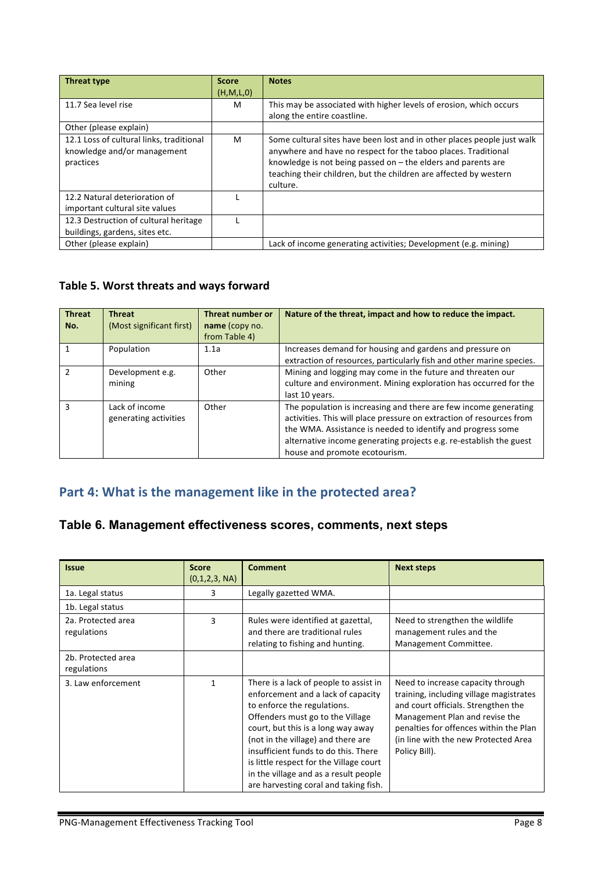| <b>Threat type</b>                                                                   | <b>Score</b> | <b>Notes</b>                                                                                                                                                                                                 |
|--------------------------------------------------------------------------------------|--------------|--------------------------------------------------------------------------------------------------------------------------------------------------------------------------------------------------------------|
|                                                                                      | (H, M, L, 0) |                                                                                                                                                                                                              |
| 11.7 Sea level rise                                                                  | M            | This may be associated with higher levels of erosion, which occurs                                                                                                                                           |
|                                                                                      |              | along the entire coastline.                                                                                                                                                                                  |
| Other (please explain)                                                               |              |                                                                                                                                                                                                              |
| 12.1 Loss of cultural links, traditional<br>knowledge and/or management<br>practices | M            | Some cultural sites have been lost and in other places people just walk<br>anywhere and have no respect for the taboo places. Traditional<br>knowledge is not being passed on $-$ the elders and parents are |
|                                                                                      |              | teaching their children, but the children are affected by western                                                                                                                                            |
|                                                                                      |              | culture.                                                                                                                                                                                                     |
| 12.2 Natural deterioration of                                                        |              |                                                                                                                                                                                                              |
| important cultural site values                                                       |              |                                                                                                                                                                                                              |
| 12.3 Destruction of cultural heritage                                                |              |                                                                                                                                                                                                              |
| buildings, gardens, sites etc.                                                       |              |                                                                                                                                                                                                              |
| Other (please explain)                                                               |              | Lack of income generating activities; Development (e.g. mining)                                                                                                                                              |

#### Table 5. Worst threats and ways forward

| <b>Threat</b><br>No. | <b>Threat</b><br>(Most significant first) | <b>Threat number or</b><br>name (copy no.<br>from Table 4) | Nature of the threat, impact and how to reduce the impact.                                                                                                                                                                                                                                                     |
|----------------------|-------------------------------------------|------------------------------------------------------------|----------------------------------------------------------------------------------------------------------------------------------------------------------------------------------------------------------------------------------------------------------------------------------------------------------------|
|                      | Population                                | 1.1a                                                       | Increases demand for housing and gardens and pressure on<br>extraction of resources, particularly fish and other marine species.                                                                                                                                                                               |
| $\mathcal{P}$        | Development e.g.<br>mining                | Other                                                      | Mining and logging may come in the future and threaten our<br>culture and environment. Mining exploration has occurred for the<br>last 10 years.                                                                                                                                                               |
| з                    | Lack of income<br>generating activities   | Other                                                      | The population is increasing and there are few income generating<br>activities. This will place pressure on extraction of resources from<br>the WMA. Assistance is needed to identify and progress some<br>alternative income generating projects e.g. re-establish the guest<br>house and promote ecotourism. |

# Part 4: What is the management like in the protected area?

## **Table 6. Management effectiveness scores, comments, next steps**

| <b>Issue</b>                      | <b>Score</b><br>(0,1,2,3, NA) | <b>Comment</b>                                                                                                                                                                                                                                                                                                                                                                                   | <b>Next steps</b>                                                                                                                                                                                                                                         |
|-----------------------------------|-------------------------------|--------------------------------------------------------------------------------------------------------------------------------------------------------------------------------------------------------------------------------------------------------------------------------------------------------------------------------------------------------------------------------------------------|-----------------------------------------------------------------------------------------------------------------------------------------------------------------------------------------------------------------------------------------------------------|
| 1a. Legal status                  | 3                             | Legally gazetted WMA.                                                                                                                                                                                                                                                                                                                                                                            |                                                                                                                                                                                                                                                           |
| 1b. Legal status                  |                               |                                                                                                                                                                                                                                                                                                                                                                                                  |                                                                                                                                                                                                                                                           |
| 2a. Protected area<br>regulations | 3                             | Rules were identified at gazettal,<br>and there are traditional rules<br>relating to fishing and hunting.                                                                                                                                                                                                                                                                                        | Need to strengthen the wildlife<br>management rules and the<br>Management Committee.                                                                                                                                                                      |
| 2b. Protected area<br>regulations |                               |                                                                                                                                                                                                                                                                                                                                                                                                  |                                                                                                                                                                                                                                                           |
| 3. Law enforcement                | 1                             | There is a lack of people to assist in<br>enforcement and a lack of capacity<br>to enforce the regulations.<br>Offenders must go to the Village<br>court, but this is a long way away<br>(not in the village) and there are<br>insufficient funds to do this. There<br>is little respect for the Village court<br>in the village and as a result people<br>are harvesting coral and taking fish. | Need to increase capacity through<br>training, including village magistrates<br>and court officials. Strengthen the<br>Management Plan and revise the<br>penalties for offences within the Plan<br>(in line with the new Protected Area)<br>Policy Bill). |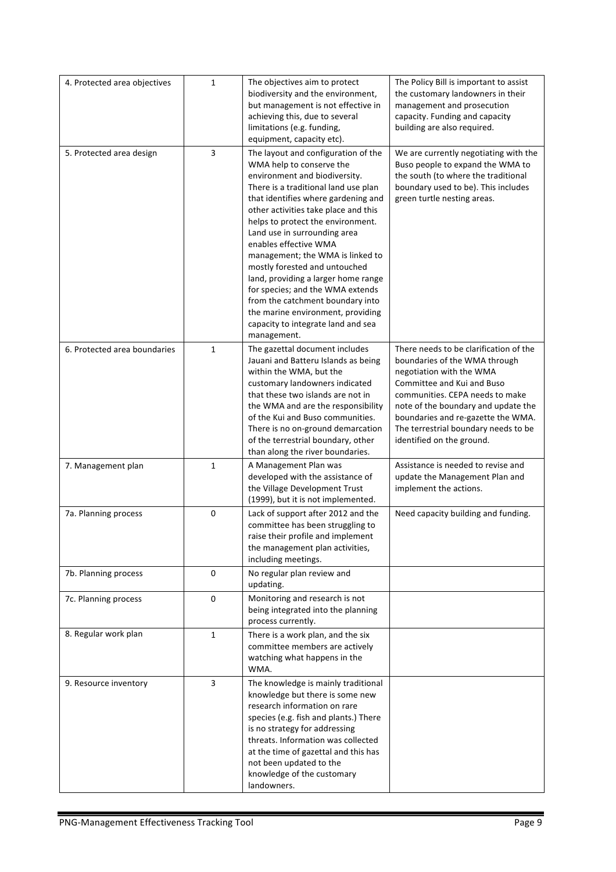| 4. Protected area objectives | $\mathbf{1}$ | The objectives aim to protect<br>biodiversity and the environment,<br>but management is not effective in<br>achieving this, due to several<br>limitations (e.g. funding,<br>equipment, capacity etc).                                                                                                                                                                                                                                                                                                                                                                                               | The Policy Bill is important to assist<br>the customary landowners in their<br>management and prosecution<br>capacity. Funding and capacity<br>building are also required.                                                                                                                                             |
|------------------------------|--------------|-----------------------------------------------------------------------------------------------------------------------------------------------------------------------------------------------------------------------------------------------------------------------------------------------------------------------------------------------------------------------------------------------------------------------------------------------------------------------------------------------------------------------------------------------------------------------------------------------------|------------------------------------------------------------------------------------------------------------------------------------------------------------------------------------------------------------------------------------------------------------------------------------------------------------------------|
| 5. Protected area design     | 3            | The layout and configuration of the<br>WMA help to conserve the<br>environment and biodiversity.<br>There is a traditional land use plan<br>that identifies where gardening and<br>other activities take place and this<br>helps to protect the environment.<br>Land use in surrounding area<br>enables effective WMA<br>management; the WMA is linked to<br>mostly forested and untouched<br>land, providing a larger home range<br>for species; and the WMA extends<br>from the catchment boundary into<br>the marine environment, providing<br>capacity to integrate land and sea<br>management. | We are currently negotiating with the<br>Buso people to expand the WMA to<br>the south (to where the traditional<br>boundary used to be). This includes<br>green turtle nesting areas.                                                                                                                                 |
| 6. Protected area boundaries | $\mathbf{1}$ | The gazettal document includes<br>Jauani and Batteru Islands as being<br>within the WMA, but the<br>customary landowners indicated<br>that these two islands are not in<br>the WMA and are the responsibility<br>of the Kui and Buso communities.<br>There is no on-ground demarcation<br>of the terrestrial boundary, other<br>than along the river boundaries.                                                                                                                                                                                                                                    | There needs to be clarification of the<br>boundaries of the WMA through<br>negotiation with the WMA<br>Committee and Kui and Buso<br>communities. CEPA needs to make<br>note of the boundary and update the<br>boundaries and re-gazette the WMA.<br>The terrestrial boundary needs to be<br>identified on the ground. |
| 7. Management plan           | $\mathbf{1}$ | A Management Plan was<br>developed with the assistance of<br>the Village Development Trust<br>(1999), but it is not implemented.                                                                                                                                                                                                                                                                                                                                                                                                                                                                    | Assistance is needed to revise and<br>update the Management Plan and<br>implement the actions.                                                                                                                                                                                                                         |
| 7a. Planning process         | 0            | Lack of support after 2012 and the<br>committee has been struggling to<br>raise their profile and implement<br>the management plan activities,<br>including meetings.                                                                                                                                                                                                                                                                                                                                                                                                                               | Need capacity building and funding.                                                                                                                                                                                                                                                                                    |
| 7b. Planning process         | 0            | No regular plan review and<br>updating.                                                                                                                                                                                                                                                                                                                                                                                                                                                                                                                                                             |                                                                                                                                                                                                                                                                                                                        |
| 7c. Planning process         | 0            | Monitoring and research is not<br>being integrated into the planning<br>process currently.                                                                                                                                                                                                                                                                                                                                                                                                                                                                                                          |                                                                                                                                                                                                                                                                                                                        |
| 8. Regular work plan         | $\mathbf{1}$ | There is a work plan, and the six<br>committee members are actively<br>watching what happens in the<br>WMA.                                                                                                                                                                                                                                                                                                                                                                                                                                                                                         |                                                                                                                                                                                                                                                                                                                        |
| 9. Resource inventory        | 3            | The knowledge is mainly traditional<br>knowledge but there is some new<br>research information on rare<br>species (e.g. fish and plants.) There<br>is no strategy for addressing<br>threats. Information was collected<br>at the time of gazettal and this has<br>not been updated to the<br>knowledge of the customary<br>landowners.                                                                                                                                                                                                                                                              |                                                                                                                                                                                                                                                                                                                        |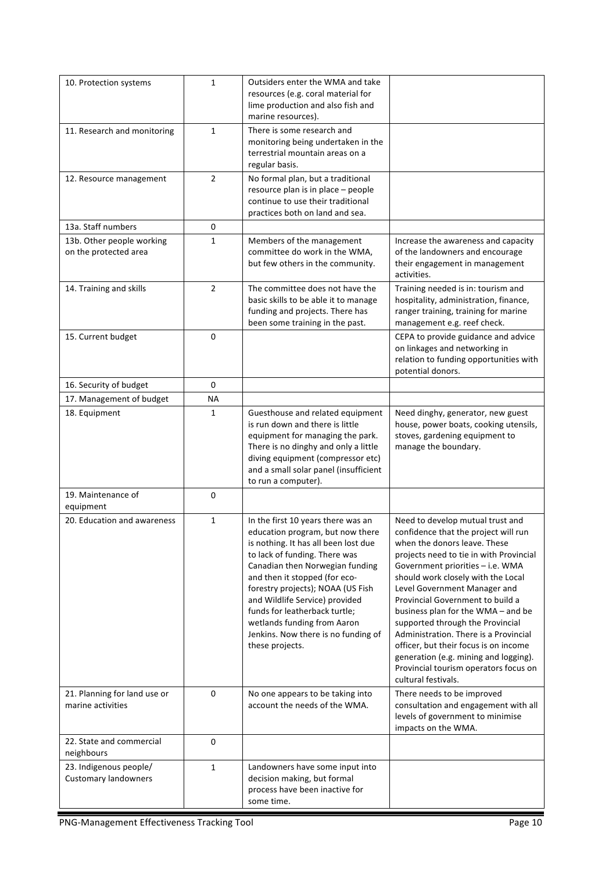| 10. Protection systems                                | $\mathbf{1}$   | Outsiders enter the WMA and take<br>resources (e.g. coral material for<br>lime production and also fish and<br>marine resources).                                                                                                                                                                                                                                                                                    |                                                                                                                                                                                                                                                                                                                                                                                                                                                                                                                                                                        |
|-------------------------------------------------------|----------------|----------------------------------------------------------------------------------------------------------------------------------------------------------------------------------------------------------------------------------------------------------------------------------------------------------------------------------------------------------------------------------------------------------------------|------------------------------------------------------------------------------------------------------------------------------------------------------------------------------------------------------------------------------------------------------------------------------------------------------------------------------------------------------------------------------------------------------------------------------------------------------------------------------------------------------------------------------------------------------------------------|
| 11. Research and monitoring                           | $\mathbf{1}$   | There is some research and<br>monitoring being undertaken in the<br>terrestrial mountain areas on a<br>regular basis.                                                                                                                                                                                                                                                                                                |                                                                                                                                                                                                                                                                                                                                                                                                                                                                                                                                                                        |
| 12. Resource management                               | $\overline{2}$ | No formal plan, but a traditional<br>resource plan is in place - people<br>continue to use their traditional<br>practices both on land and sea.                                                                                                                                                                                                                                                                      |                                                                                                                                                                                                                                                                                                                                                                                                                                                                                                                                                                        |
| 13a. Staff numbers                                    | 0              |                                                                                                                                                                                                                                                                                                                                                                                                                      |                                                                                                                                                                                                                                                                                                                                                                                                                                                                                                                                                                        |
| 13b. Other people working<br>on the protected area    | 1              | Members of the management<br>committee do work in the WMA,<br>but few others in the community.                                                                                                                                                                                                                                                                                                                       | Increase the awareness and capacity<br>of the landowners and encourage<br>their engagement in management<br>activities.                                                                                                                                                                                                                                                                                                                                                                                                                                                |
| 14. Training and skills                               | $\overline{2}$ | The committee does not have the<br>basic skills to be able it to manage<br>funding and projects. There has<br>been some training in the past.                                                                                                                                                                                                                                                                        | Training needed is in: tourism and<br>hospitality, administration, finance,<br>ranger training, training for marine<br>management e.g. reef check.                                                                                                                                                                                                                                                                                                                                                                                                                     |
| 15. Current budget                                    | 0              |                                                                                                                                                                                                                                                                                                                                                                                                                      | CEPA to provide guidance and advice<br>on linkages and networking in<br>relation to funding opportunities with<br>potential donors.                                                                                                                                                                                                                                                                                                                                                                                                                                    |
| 16. Security of budget                                | $\mathbf 0$    |                                                                                                                                                                                                                                                                                                                                                                                                                      |                                                                                                                                                                                                                                                                                                                                                                                                                                                                                                                                                                        |
| 17. Management of budget                              | ΝA             |                                                                                                                                                                                                                                                                                                                                                                                                                      |                                                                                                                                                                                                                                                                                                                                                                                                                                                                                                                                                                        |
| 18. Equipment                                         | 1              | Guesthouse and related equipment<br>is run down and there is little<br>equipment for managing the park.<br>There is no dinghy and only a little<br>diving equipment (compressor etc)<br>and a small solar panel (insufficient<br>to run a computer).                                                                                                                                                                 | Need dinghy, generator, new guest<br>house, power boats, cooking utensils,<br>stoves, gardening equipment to<br>manage the boundary.                                                                                                                                                                                                                                                                                                                                                                                                                                   |
| 19. Maintenance of<br>equipment                       | 0              |                                                                                                                                                                                                                                                                                                                                                                                                                      |                                                                                                                                                                                                                                                                                                                                                                                                                                                                                                                                                                        |
| 20. Education and awareness                           | $\mathbf{1}$   | In the first 10 years there was an<br>education program, but now there<br>is nothing. It has all been lost due<br>to lack of funding. There was<br>Canadian then Norwegian funding<br>and then it stopped (for eco-<br>forestry projects); NOAA (US Fish<br>and Wildlife Service) provided<br>funds for leatherback turtle;<br>wetlands funding from Aaron<br>Jenkins. Now there is no funding of<br>these projects. | Need to develop mutual trust and<br>confidence that the project will run<br>when the donors leave. These<br>projects need to tie in with Provincial<br>Government priorities - i.e. WMA<br>should work closely with the Local<br>Level Government Manager and<br>Provincial Government to build a<br>business plan for the WMA - and be<br>supported through the Provincial<br>Administration. There is a Provincial<br>officer, but their focus is on income<br>generation (e.g. mining and logging).<br>Provincial tourism operators focus on<br>cultural festivals. |
| 21. Planning for land use or<br>marine activities     | 0              | No one appears to be taking into<br>account the needs of the WMA.                                                                                                                                                                                                                                                                                                                                                    | There needs to be improved<br>consultation and engagement with all<br>levels of government to minimise<br>impacts on the WMA.                                                                                                                                                                                                                                                                                                                                                                                                                                          |
| 22. State and commercial<br>neighbours                | 0              |                                                                                                                                                                                                                                                                                                                                                                                                                      |                                                                                                                                                                                                                                                                                                                                                                                                                                                                                                                                                                        |
| 23. Indigenous people/<br><b>Customary landowners</b> | 1              | Landowners have some input into<br>decision making, but formal<br>process have been inactive for<br>some time.                                                                                                                                                                                                                                                                                                       |                                                                                                                                                                                                                                                                                                                                                                                                                                                                                                                                                                        |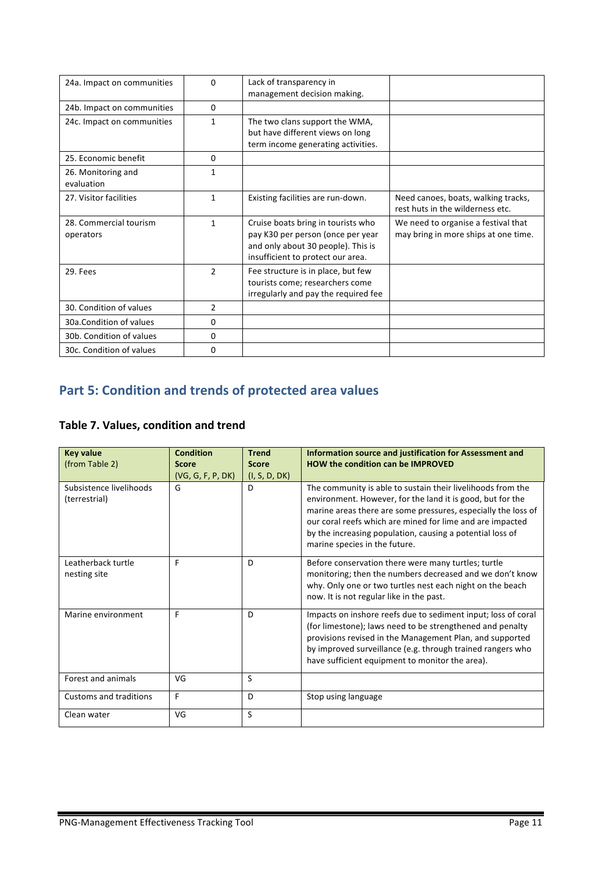| 24a. Impact on communities          | $\Omega$       | Lack of transparency in<br>management decision making.                                                                                             |                                                                             |
|-------------------------------------|----------------|----------------------------------------------------------------------------------------------------------------------------------------------------|-----------------------------------------------------------------------------|
| 24b. Impact on communities          | $\Omega$       |                                                                                                                                                    |                                                                             |
| 24c. Impact on communities          | $\mathbf{1}$   | The two clans support the WMA,<br>but have different views on long<br>term income generating activities.                                           |                                                                             |
| 25. Economic benefit                | 0              |                                                                                                                                                    |                                                                             |
| 26. Monitoring and<br>evaluation    | 1              |                                                                                                                                                    |                                                                             |
| 27. Visitor facilities              | 1              | Existing facilities are run-down.                                                                                                                  | Need canoes, boats, walking tracks,<br>rest huts in the wilderness etc.     |
| 28. Commercial tourism<br>operators | 1              | Cruise boats bring in tourists who<br>pay K30 per person (once per year<br>and only about 30 people). This is<br>insufficient to protect our area. | We need to organise a festival that<br>may bring in more ships at one time. |
| 29. Fees                            | $\mathfrak{p}$ | Fee structure is in place, but few<br>tourists come; researchers come<br>irregularly and pay the required fee                                      |                                                                             |
| 30. Condition of values             | $\overline{2}$ |                                                                                                                                                    |                                                                             |
| 30a.Condition of values             | 0              |                                                                                                                                                    |                                                                             |
| 30b. Condition of values            | 0              |                                                                                                                                                    |                                                                             |
| 30c. Condition of values            | 0              |                                                                                                                                                    |                                                                             |

# **Part 5: Condition and trends of protected area values**

#### **Table 7. Values, condition and trend**

| <b>Key value</b><br>(from Table 2)       | Condition<br><b>Score</b><br>(VG, G, F, P, DK) | <b>Trend</b><br><b>Score</b><br>(I, S, D, DK) | Information source and justification for Assessment and<br><b>HOW the condition can be IMPROVED</b>                                                                                                                                                                                                                                                   |
|------------------------------------------|------------------------------------------------|-----------------------------------------------|-------------------------------------------------------------------------------------------------------------------------------------------------------------------------------------------------------------------------------------------------------------------------------------------------------------------------------------------------------|
| Subsistence livelihoods<br>(terrestrial) | G                                              | D                                             | The community is able to sustain their livelihoods from the<br>environment. However, for the land it is good, but for the<br>marine areas there are some pressures, especially the loss of<br>our coral reefs which are mined for lime and are impacted<br>by the increasing population, causing a potential loss of<br>marine species in the future. |
| Leatherback turtle<br>nesting site       | F                                              | D                                             | Before conservation there were many turtles; turtle<br>monitoring; then the numbers decreased and we don't know<br>why. Only one or two turtles nest each night on the beach<br>now. It is not regular like in the past.                                                                                                                              |
| Marine environment                       | F                                              | D                                             | Impacts on inshore reefs due to sediment input; loss of coral<br>(for limestone); laws need to be strengthened and penalty<br>provisions revised in the Management Plan, and supported<br>by improved surveillance (e.g. through trained rangers who<br>have sufficient equipment to monitor the area).                                               |
| Forest and animals                       | VG                                             | S                                             |                                                                                                                                                                                                                                                                                                                                                       |
| Customs and traditions                   | F                                              | D                                             | Stop using language                                                                                                                                                                                                                                                                                                                                   |
| Clean water                              | VG                                             | S                                             |                                                                                                                                                                                                                                                                                                                                                       |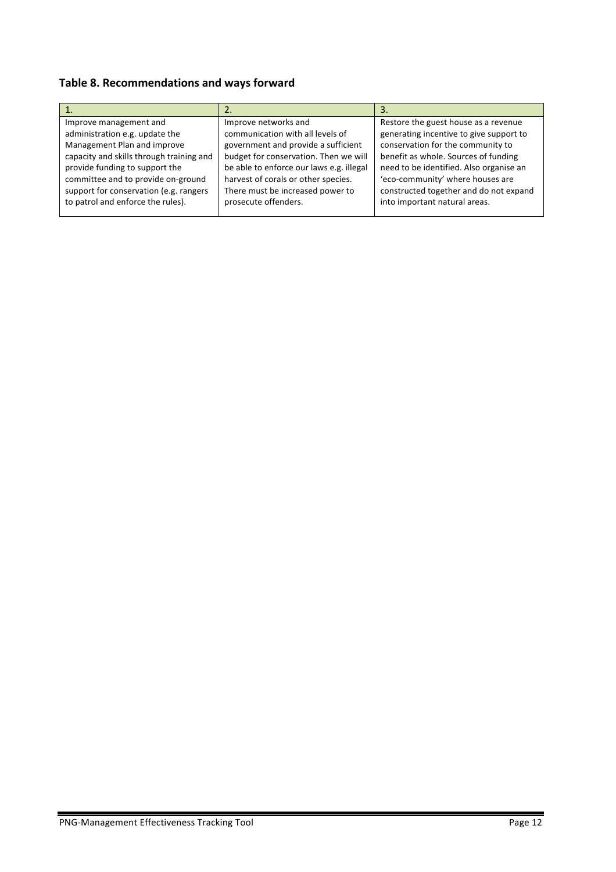# Table 8. Recommendations and ways forward

| Improve management and                   | Improve networks and                     | Restore the guest house as a revenue    |
|------------------------------------------|------------------------------------------|-----------------------------------------|
| administration e.g. update the           | communication with all levels of         | generating incentive to give support to |
| Management Plan and improve              | government and provide a sufficient      | conservation for the community to       |
| capacity and skills through training and | budget for conservation. Then we will    | benefit as whole. Sources of funding    |
| provide funding to support the           | be able to enforce our laws e.g. illegal | need to be identified. Also organise an |
| committee and to provide on-ground       | harvest of corals or other species.      | 'eco-community' where houses are        |
| support for conservation (e.g. rangers   | There must be increased power to         | constructed together and do not expand  |
| to patrol and enforce the rules).        | prosecute offenders.                     | into important natural areas.           |
|                                          |                                          |                                         |